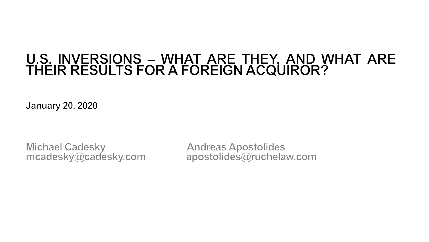## U.S. INVERSIONS - WHAT ARE THEY, AND WHAT ARE<br>THEIR RESULTS FOR A FOREIGN ACQUIROR?

**January 20, 2020** 

**Michael Cadesky** mcadesky@cadesky.com

**Andreas Apostolides** apostolides@ruchelaw.com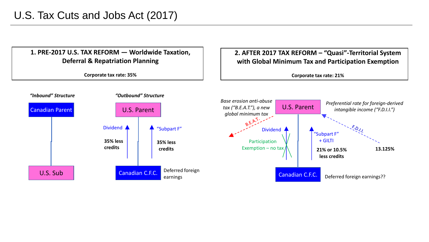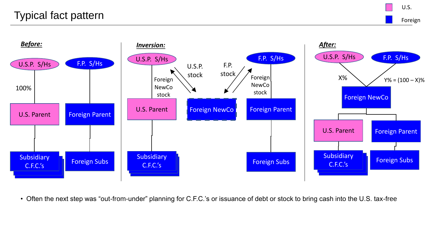



• Often the next step was "out-from-under" planning for C.F.C.'s or issuance of debt or stock to bring cash into the U.S. tax-free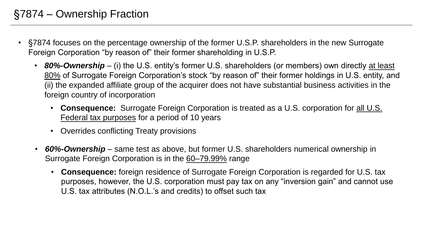- §7874 focuses on the percentage ownership of the former U.S.P. shareholders in the new Surrogate Foreign Corporation "by reason of" their former shareholding in U.S.P.
	- 80%-Ownership (i) the U.S. entity's former U.S. shareholders (or members) own directly at least 80% of Surrogate Foreign Corporation's stock "by reason of" their former holdings in U.S. entity, and (ii) the expanded affiliate group of the acquirer does not have substantial business activities in the foreign country of incorporation
		- **Consequence:** Surrogate Foreign Corporation is treated as a U.S. corporation for all U.S. Federal tax purposes for a period of 10 years
		- Overrides conflicting Treaty provisions
	- *60%-Ownership –* same test as above, but former U.S. shareholders numerical ownership in Surrogate Foreign Corporation is in the 60–79.99% range
		- **Consequence:** foreign residence of Surrogate Foreign Corporation is regarded for U.S. tax purposes, however, the U.S. corporation must pay tax on any "inversion gain" and cannot use U.S. tax attributes (N.O.L.'s and credits) to offset such tax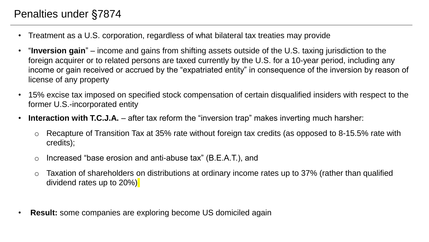- Treatment as a U.S. corporation, regardless of what bilateral tax treaties may provide
- "**Inversion gain**" income and gains from shifting assets outside of the U.S. taxing jurisdiction to the foreign acquirer or to related persons are taxed currently by the U.S. for a 10-year period, including any income or gain received or accrued by the "expatriated entity" in consequence of the inversion by reason of license of any property
- 15% excise tax imposed on specified stock compensation of certain disqualified insiders with respect to the former U.S.-incorporated entity
- **Interaction with T.C.J.A.** after tax reform the "inversion trap" makes inverting much harsher:
	- o Recapture of Transition Tax at 35% rate without foreign tax credits (as opposed to 8-15.5% rate with credits);
	- o Increased "base erosion and anti-abuse tax" (B.E.A.T.), and
	- $\circ$  Taxation of shareholders on distributions at ordinary income rates up to 37% (rather than qualified dividend rates up to 20%)
- **Result:** some companies are exploring become US domiciled again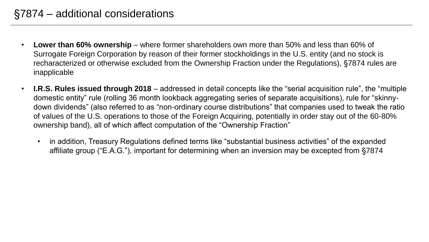## §7874 – additional considerations

- **Lower than 60% ownership**  where former shareholders own more than 50% and less than 60% of Surrogate Foreign Corporation by reason of their former stockholdings in the U.S. entity (and no stock is recharacterized or otherwise excluded from the Ownership Fraction under the Regulations), §7874 rules are inapplicable
- **I.R.S. Rules issued through 2018**  addressed in detail concepts like the "serial acquisition rule", the "multiple domestic entity" rule (rolling 36 month lookback aggregating series of separate acquisitions), rule for "skinnydown dividends" (also referred to as "non-ordinary course distributions" that companies used to tweak the ratio of values of the U.S. operations to those of the Foreign Acquiring, potentially in order stay out of the 60-80% ownership band), all of which affect computation of the "Ownership Fraction"
	- in addition, Treasury Regulations defined terms like "substantial business activities" of the expanded affiliate group ("E.A.G."), important for determining when an inversion may be excepted from §7874